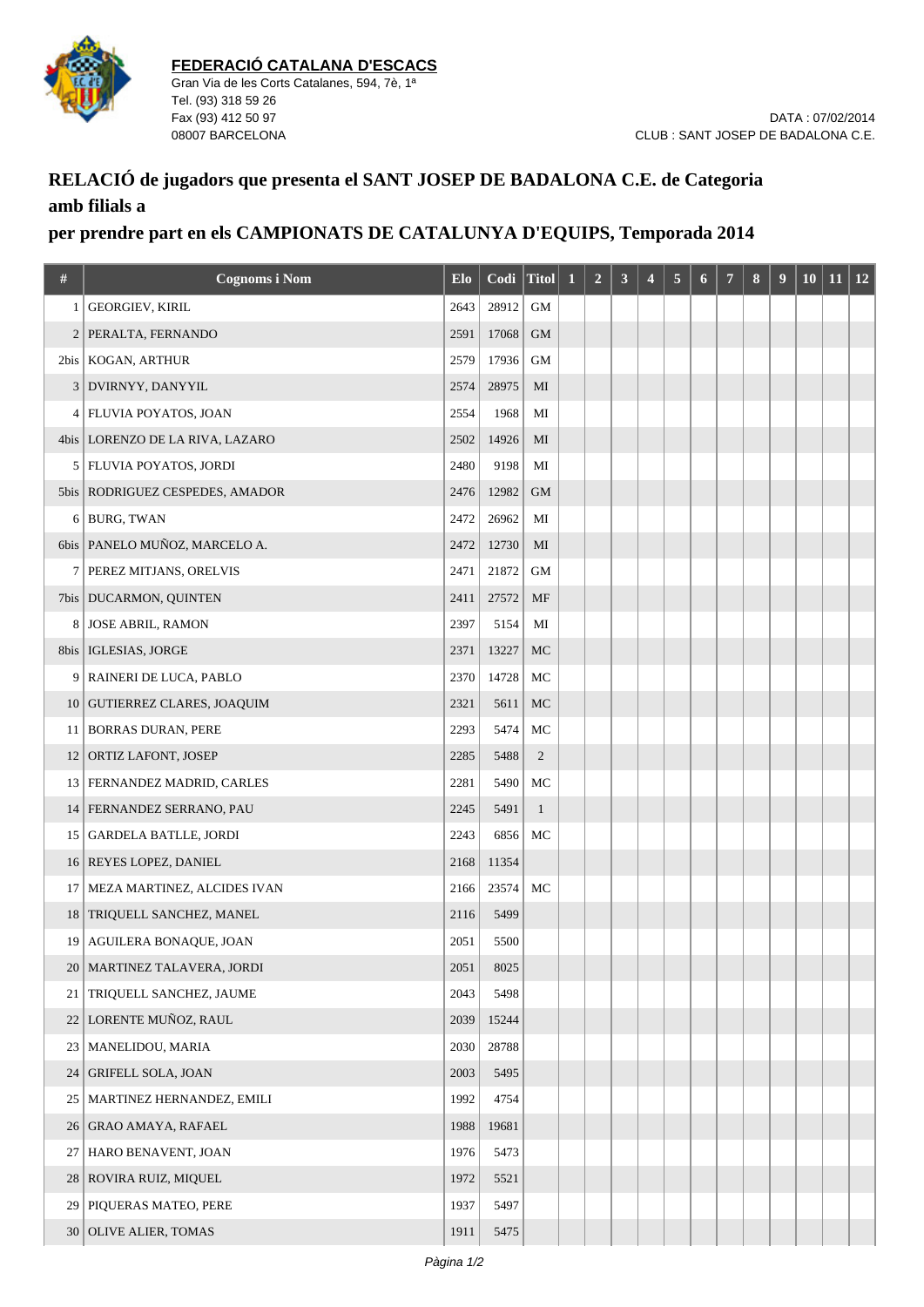

## **RELACIÓ de jugadors que presenta el SANT JOSEP DE BADALONA C.E. de Categoria amb filials a**

## **per prendre part en els CAMPIONATS DE CATALUNYA D'EQUIPS, Temporada 2014**

| #               | <b>Cognoms i Nom</b>              | Elo  | Codi Titol |                | $\mathbf 1$ | $\overline{2}$ | 3 | $\overline{\mathbf{4}}$ | 5 | 6 | 7 | 8 | $\boldsymbol{9}$ | <b>10</b> | <b>11</b> | <b>12</b> |
|-----------------|-----------------------------------|------|------------|----------------|-------------|----------------|---|-------------------------|---|---|---|---|------------------|-----------|-----------|-----------|
| 1               | <b>GEORGIEV, KIRIL</b>            | 2643 | 28912      | <b>GM</b>      |             |                |   |                         |   |   |   |   |                  |           |           |           |
| $\overline{2}$  | PERALTA, FERNANDO                 | 2591 | 17068      | <b>GM</b>      |             |                |   |                         |   |   |   |   |                  |           |           |           |
|                 | 2bis   KOGAN, ARTHUR              | 2579 | 17936      | $\mbox{GM}$    |             |                |   |                         |   |   |   |   |                  |           |           |           |
| 3               | DVIRNYY, DANYYIL                  | 2574 | 28975      | MI             |             |                |   |                         |   |   |   |   |                  |           |           |           |
| 4               | <b>FLUVIA POYATOS, JOAN</b>       | 2554 | 1968       | MI             |             |                |   |                         |   |   |   |   |                  |           |           |           |
|                 | 4bis   LORENZO DE LA RIVA, LAZARO | 2502 | 14926      | MI             |             |                |   |                         |   |   |   |   |                  |           |           |           |
| 5               | FLUVIA POYATOS, JORDI             | 2480 | 9198       | MI             |             |                |   |                         |   |   |   |   |                  |           |           |           |
|                 | 5bis   RODRIGUEZ CESPEDES, AMADOR | 2476 | 12982      | <b>GM</b>      |             |                |   |                         |   |   |   |   |                  |           |           |           |
|                 | 6 BURG, TWAN                      | 2472 | 26962      | MI             |             |                |   |                         |   |   |   |   |                  |           |           |           |
|                 | 6bis   PANELO MUÑOZ, MARCELO A.   | 2472 | 12730      | MI             |             |                |   |                         |   |   |   |   |                  |           |           |           |
| 7               | PEREZ MITJANS, ORELVIS            | 2471 | 21872      | GМ             |             |                |   |                         |   |   |   |   |                  |           |           |           |
|                 | 7bis   DUCARMON, QUINTEN          | 2411 | 27572      | MF             |             |                |   |                         |   |   |   |   |                  |           |           |           |
| 8               | <b>JOSE ABRIL, RAMON</b>          | 2397 | 5154       | MI             |             |                |   |                         |   |   |   |   |                  |           |           |           |
| 8bis            | IGLESIAS, JORGE                   | 2371 | 13227      | MC             |             |                |   |                         |   |   |   |   |                  |           |           |           |
| 9               | <b>RAINERI DE LUCA, PABLO</b>     | 2370 | 14728      | MC             |             |                |   |                         |   |   |   |   |                  |           |           |           |
| 10              | <b>GUTIERREZ CLARES, JOAQUIM</b>  | 2321 | 5611       | МC             |             |                |   |                         |   |   |   |   |                  |           |           |           |
| 11              | <b>BORRAS DURAN, PERE</b>         | 2293 | 5474       | MC             |             |                |   |                         |   |   |   |   |                  |           |           |           |
| 12              | ORTIZ LAFONT, JOSEP               | 2285 | 5488       | $\overline{c}$ |             |                |   |                         |   |   |   |   |                  |           |           |           |
|                 | 13   FERNANDEZ MADRID, CARLES     | 2281 | 5490       | МC             |             |                |   |                         |   |   |   |   |                  |           |           |           |
| 14              | FERNANDEZ SERRANO, PAU            | 2245 | 5491       | $\mathbf{1}$   |             |                |   |                         |   |   |   |   |                  |           |           |           |
|                 | 15 GARDELA BATLLE, JORDI          | 2243 | 6856       | MC             |             |                |   |                         |   |   |   |   |                  |           |           |           |
| 16 <sup>1</sup> | REYES LOPEZ, DANIEL               | 2168 | 11354      |                |             |                |   |                         |   |   |   |   |                  |           |           |           |
| 17              | MEZA MARTINEZ, ALCIDES IVAN       | 2166 | 23574      | MC             |             |                |   |                         |   |   |   |   |                  |           |           |           |
|                 | 18 TRIQUELL SANCHEZ, MANEL        | 2116 | 5499       |                |             |                |   |                         |   |   |   |   |                  |           |           |           |
|                 | 19 AGUILERA BONAQUE, JOAN         | 2051 | 5500       |                |             |                |   |                         |   |   |   |   |                  |           |           |           |
| 20 <sub>1</sub> | MARTINEZ TALAVERA, JORDI          | 2051 | 8025       |                |             |                |   |                         |   |   |   |   |                  |           |           |           |
| 21              | TRIQUELL SANCHEZ, JAUME           | 2043 | 5498       |                |             |                |   |                         |   |   |   |   |                  |           |           |           |
| 22              | LORENTE MUÑOZ, RAUL               | 2039 | 15244      |                |             |                |   |                         |   |   |   |   |                  |           |           |           |
| 23              | MANELIDOU, MARIA                  | 2030 | 28788      |                |             |                |   |                         |   |   |   |   |                  |           |           |           |
| 24              | <b>GRIFELL SOLA, JOAN</b>         | 2003 | 5495       |                |             |                |   |                         |   |   |   |   |                  |           |           |           |
| 25              | MARTINEZ HERNANDEZ, EMILI         | 1992 | 4754       |                |             |                |   |                         |   |   |   |   |                  |           |           |           |
| 26              | <b>GRAO AMAYA, RAFAEL</b>         | 1988 | 19681      |                |             |                |   |                         |   |   |   |   |                  |           |           |           |
| 27              | HARO BENAVENT, JOAN               | 1976 | 5473       |                |             |                |   |                         |   |   |   |   |                  |           |           |           |
| 28              | ROVIRA RUIZ, MIQUEL               | 1972 | 5521       |                |             |                |   |                         |   |   |   |   |                  |           |           |           |
| 29              | PIQUERAS MATEO, PERE              | 1937 | 5497       |                |             |                |   |                         |   |   |   |   |                  |           |           |           |
|                 | 30 OLIVE ALIER, TOMAS             | 1911 | 5475       |                |             |                |   |                         |   |   |   |   |                  |           |           |           |